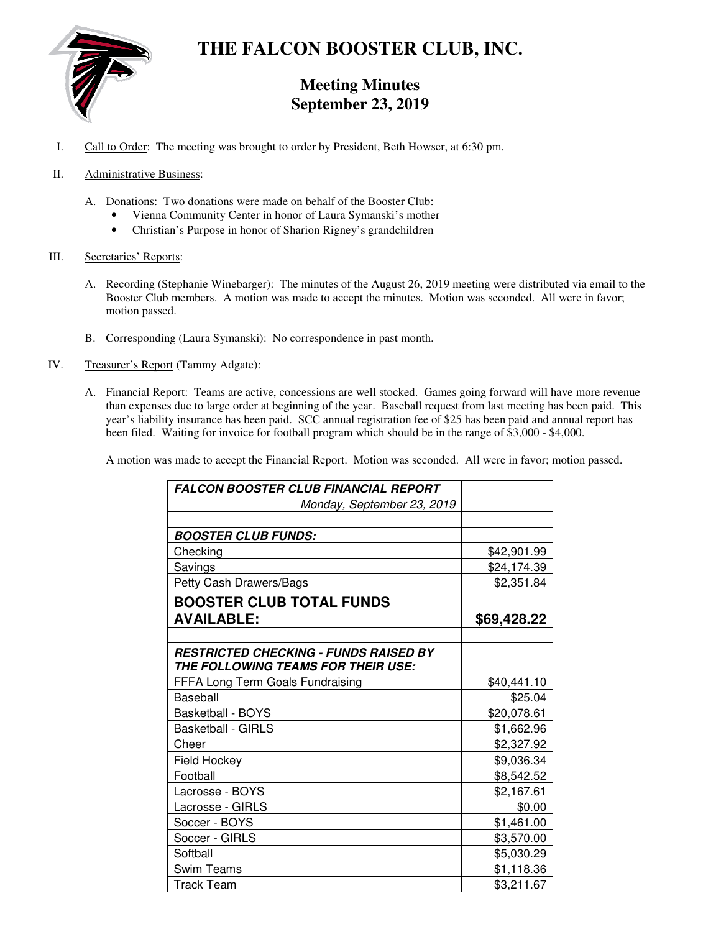

# **THE FALCON BOOSTER CLUB, INC.**

# **Meeting Minutes September 23, 2019**

- I. Call to Order: The meeting was brought to order by President, Beth Howser, at 6:30 pm.
- II. Administrative Business:
	- A. Donations: Two donations were made on behalf of the Booster Club:
		- Vienna Community Center in honor of Laura Symanski's mother
		- Christian's Purpose in honor of Sharion Rigney's grandchildren
- III. Secretaries' Reports:
	- A. Recording (Stephanie Winebarger): The minutes of the August 26, 2019 meeting were distributed via email to the Booster Club members. A motion was made to accept the minutes. Motion was seconded. All were in favor; motion passed.
	- B. Corresponding (Laura Symanski): No correspondence in past month.
- IV. Treasurer's Report (Tammy Adgate):
	- A. Financial Report: Teams are active, concessions are well stocked. Games going forward will have more revenue than expenses due to large order at beginning of the year. Baseball request from last meeting has been paid. This year's liability insurance has been paid. SCC annual registration fee of \$25 has been paid and annual report has been filed. Waiting for invoice for football program which should be in the range of \$3,000 - \$4,000.

A motion was made to accept the Financial Report. Motion was seconded. All were in favor; motion passed.

| <b>FALCON BOOSTER CLUB FINANCIAL REPORT</b>  |             |
|----------------------------------------------|-------------|
| Monday, September 23, 2019                   |             |
|                                              |             |
| <i><b>BOOSTER CLUB FUNDS:</b></i>            |             |
| Checking                                     | \$42,901.99 |
| Savings                                      | \$24,174.39 |
| Petty Cash Drawers/Bags                      | \$2,351.84  |
| <b>BOOSTER CLUB TOTAL FUNDS</b>              |             |
| <b>AVAILABLE:</b>                            | \$69,428.22 |
|                                              |             |
| <b>RESTRICTED CHECKING - FUNDS RAISED BY</b> |             |
| THE FOLLOWING TEAMS FOR THEIR USE:           |             |
| FFFA Long Term Goals Fundraising             | \$40,441.10 |
| Baseball                                     | \$25.04     |
| <b>Basketball - BOYS</b>                     | \$20,078.61 |
| <b>Basketball - GIRLS</b>                    | \$1,662.96  |
| Cheer                                        | \$2,327.92  |
| Field Hockey                                 | \$9,036.34  |
| Football                                     | \$8,542.52  |
| Lacrosse - BOYS                              | \$2,167.61  |
| Lacrosse - GIRLS                             | \$0.00      |
| Soccer - BOYS                                | \$1,461.00  |
| Soccer - GIRLS                               | \$3,570.00  |
| Softball                                     | \$5,030.29  |
| <b>Swim Teams</b>                            | \$1,118.36  |
| <b>Track Team</b>                            | \$3,211.67  |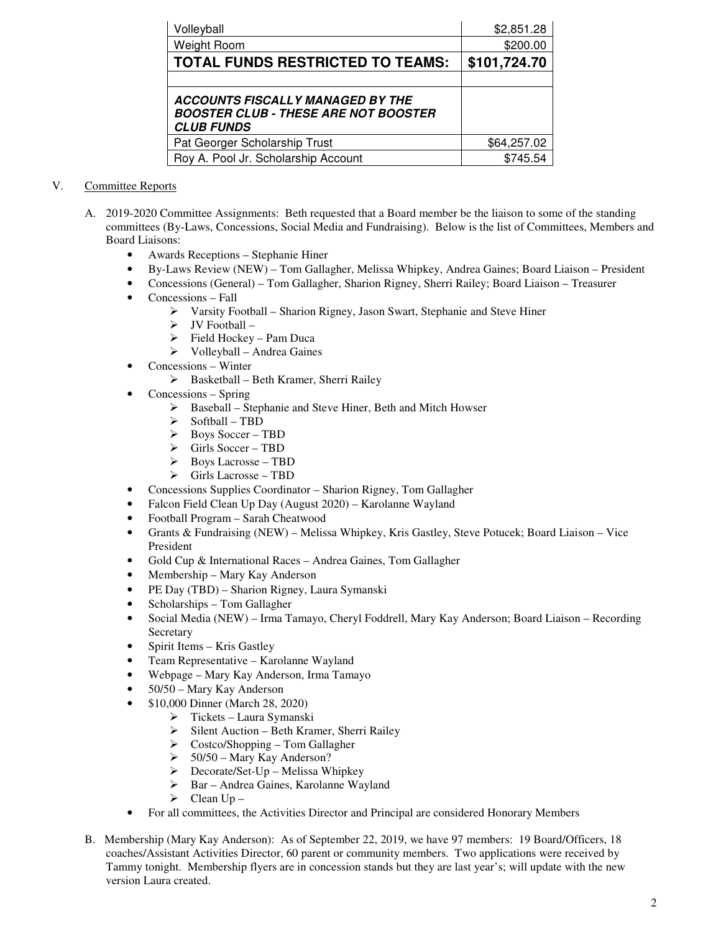| Volleyball                                                                                                  | \$2,851.28   |
|-------------------------------------------------------------------------------------------------------------|--------------|
| Weight Room                                                                                                 | \$200.00     |
| <b>TOTAL FUNDS RESTRICTED TO TEAMS:</b>                                                                     | \$101,724.70 |
|                                                                                                             |              |
| <b>ACCOUNTS FISCALLY MANAGED BY THE</b><br><b>BOOSTER CLUB - THESE ARE NOT BOOSTER</b><br><b>CLUB FUNDS</b> |              |
| Pat Georger Scholarship Trust                                                                               | \$64,257.02  |
| Roy A. Pool Jr. Scholarship Account                                                                         | \$745.54     |

## V. Committee Reports

- A. 2019-2020 Committee Assignments: Beth requested that a Board member be the liaison to some of the standing committees (By-Laws, Concessions, Social Media and Fundraising). Below is the list of Committees, Members and Board Liaisons:
	- Awards Receptions Stephanie Hiner
	- By-Laws Review (NEW) Tom Gallagher, Melissa Whipkey, Andrea Gaines; Board Liaison President
	- Concessions (General) Tom Gallagher, Sharion Rigney, Sherri Railey; Board Liaison Treasurer
	- Concessions Fall
		- Varsity Football Sharion Rigney, Jason Swart, Stephanie and Steve Hiner
		- $\triangleright$  JV Football –
		- $\triangleright$  Field Hockey Pam Duca
		- $\triangleright$  Volleyball Andrea Gaines
	- Concessions Winter
		- $\triangleright$  Basketball Beth Kramer, Sherri Railey
	- Concessions Spring
		- Baseball Stephanie and Steve Hiner, Beth and Mitch Howser
		- $\triangleright$  Softball TBD<br> $\triangleright$  Boys Soccer T
		- Boys Soccer TBD
		- Girls Soccer TBD
		- Boys Lacrosse TBD
		- $\triangleright$  Girls Lacrosse TBD
	- Concessions Supplies Coordinator Sharion Rigney, Tom Gallagher
	- Falcon Field Clean Up Day (August 2020) Karolanne Wayland
	- Football Program Sarah Cheatwood
	- Grants & Fundraising (NEW) Melissa Whipkey, Kris Gastley, Steve Potucek; Board Liaison Vice President
	- Gold Cup & International Races Andrea Gaines, Tom Gallagher
	- Membership Mary Kay Anderson
	- PE Day (TBD) Sharion Rigney, Laura Symanski
	- Scholarships Tom Gallagher
	- Social Media (NEW) Irma Tamayo, Cheryl Foddrell, Mary Kay Anderson; Board Liaison Recording **Secretary**
	- Spirit Items Kris Gastley
	- Team Representative Karolanne Wayland
	- Webpage Mary Kay Anderson, Irma Tamayo
	- 50/50 Mary Kay Anderson
	- \$10,000 Dinner (March 28, 2020)
		- $\triangleright$  Tickets Laura Symanski
		- $\triangleright$  Silent Auction Beth Kramer, Sherri Railey
		- Solongover Costco/Shopping Tom Gallagher<br>
		Solongover Costco Mary Kay Anderson?
		- 50/50 Mary Kay Anderson?
		- $\triangleright$  Decorate/Set-Up Melissa Whipkey
		- Bar Andrea Gaines, Karolanne Wayland
		- $\triangleright$  Clean Up –
	- For all committees, the Activities Director and Principal are considered Honorary Members
- B. Membership (Mary Kay Anderson): As of September 22, 2019, we have 97 members: 19 Board/Officers, 18 coaches/Assistant Activities Director, 60 parent or community members. Two applications were received by Tammy tonight. Membership flyers are in concession stands but they are last year's; will update with the new version Laura created.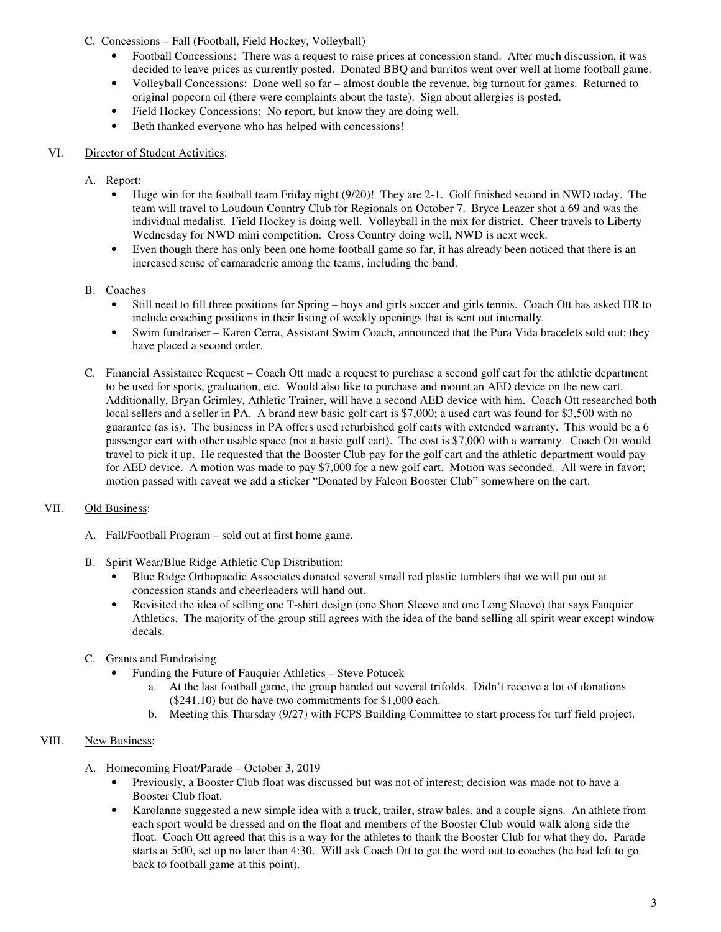## C. Concessions – Fall (Football, Field Hockey, Volleyball)

- Football Concessions: There was a request to raise prices at concession stand. After much discussion, it was decided to leave prices as currently posted. Donated BBQ and burritos went over well at home football game.
- Volleyball Concessions: Done well so far almost double the revenue, big turnout for games. Returned to original popcorn oil (there were complaints about the taste). Sign about allergies is posted.
- Field Hockey Concessions: No report, but know they are doing well.
- Beth thanked everyone who has helped with concessions!

#### VI. Director of Student Activities:

#### A. Report:

- Huge win for the football team Friday night (9/20)! They are 2-1. Golf finished second in NWD today. The team will travel to Loudoun Country Club for Regionals on October 7. Bryce Leazer shot a 69 and was the individual medalist. Field Hockey is doing well. Volleyball in the mix for district. Cheer travels to Liberty Wednesday for NWD mini competition. Cross Country doing well, NWD is next week.
- Even though there has only been one home football game so far, it has already been noticed that there is an increased sense of camaraderie among the teams, including the band.
- B. Coaches
	- Still need to fill three positions for Spring boys and girls soccer and girls tennis. Coach Ott has asked HR to include coaching positions in their listing of weekly openings that is sent out internally.
	- Swim fundraiser Karen Cerra, Assistant Swim Coach, announced that the Pura Vida bracelets sold out; they have placed a second order.
- C. Financial Assistance Request Coach Ott made a request to purchase a second golf cart for the athletic department to be used for sports, graduation, etc. Would also like to purchase and mount an AED device on the new cart. Additionally, Bryan Grimley, Athletic Trainer, will have a second AED device with him. Coach Ott researched both local sellers and a seller in PA. A brand new basic golf cart is \$7,000; a used cart was found for \$3,500 with no guarantee (as is). The business in PA offers used refurbished golf carts with extended warranty. This would be a 6 passenger cart with other usable space (not a basic golf cart). The cost is \$7,000 with a warranty. Coach Ott would travel to pick it up. He requested that the Booster Club pay for the golf cart and the athletic department would pay for AED device. A motion was made to pay \$7,000 for a new golf cart. Motion was seconded. All were in favor; motion passed with caveat we add a sticker "Donated by Falcon Booster Club" somewhere on the cart.

# VII. Old Business:

- A. Fall/Football Program sold out at first home game.
- B. Spirit Wear/Blue Ridge Athletic Cup Distribution:
	- Blue Ridge Orthopaedic Associates donated several small red plastic tumblers that we will put out at concession stands and cheerleaders will hand out.
	- Revisited the idea of selling one T-shirt design (one Short Sleeve and one Long Sleeve) that says Fauquier Athletics. The majority of the group still agrees with the idea of the band selling all spirit wear except window decals.
- C. Grants and Fundraising
	- Funding the Future of Fauquier Athletics Steve Potucek
		- a. At the last football game, the group handed out several trifolds. Didn't receive a lot of donations (\$241.10) but do have two commitments for \$1,000 each.
		- b. Meeting this Thursday (9/27) with FCPS Building Committee to start process for turf field project.

# VIII. New Business:

- A. Homecoming Float/Parade October 3, 2019
	- Previously, a Booster Club float was discussed but was not of interest; decision was made not to have a Booster Club float.
	- Karolanne suggested a new simple idea with a truck, trailer, straw bales, and a couple signs. An athlete from each sport would be dressed and on the float and members of the Booster Club would walk along side the float. Coach Ott agreed that this is a way for the athletes to thank the Booster Club for what they do. Parade starts at 5:00, set up no later than 4:30. Will ask Coach Ott to get the word out to coaches (he had left to go back to football game at this point).